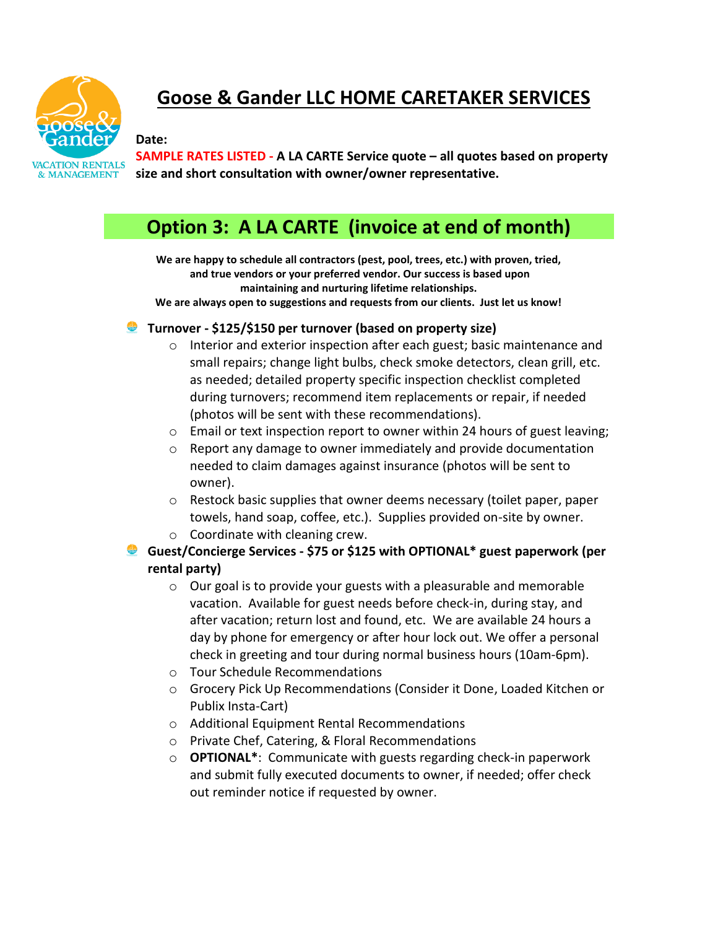

## **Goose & Gander LLC HOME CARETAKER SERVICES**

**Date: SAMPLE RATES LISTED - A LA CARTE Service quote – all quotes based on property size and short consultation with owner/owner representative.**

## **Option 3: A LA CARTE (invoice at end of month)**

**We are happy to schedule all contractors (pest, pool, trees, etc.) with proven, tried, and true vendors or your preferred vendor. Our success is based upon maintaining and nurturing lifetime relationships. We are always open to suggestions and requests from our clients. Just let us know!**

**Turnover - \$125/\$150 per turnover (based on property size)**

- o Interior and exterior inspection after each guest; basic maintenance and small repairs; change light bulbs, check smoke detectors, clean grill, etc. as needed; detailed property specific inspection checklist completed during turnovers; recommend item replacements or repair, if needed (photos will be sent with these recommendations).
- o Email or text inspection report to owner within 24 hours of guest leaving;
- $\circ$  Report any damage to owner immediately and provide documentation needed to claim damages against insurance (photos will be sent to owner).
- o Restock basic supplies that owner deems necessary (toilet paper, paper towels, hand soap, coffee, etc.). Supplies provided on-site by owner.
- o Coordinate with cleaning crew.
- **Guest/Concierge Services - \$75 or \$125 with OPTIONAL\* guest paperwork (per rental party)**
	- o Our goal is to provide your guests with a pleasurable and memorable vacation. Available for guest needs before check-in, during stay, and after vacation; return lost and found, etc. We are available 24 hours a day by phone for emergency or after hour lock out. We offer a personal check in greeting and tour during normal business hours (10am-6pm).
	- o Tour Schedule Recommendations
	- o Grocery Pick Up Recommendations (Consider it Done, Loaded Kitchen or Publix Insta-Cart)
	- o Additional Equipment Rental Recommendations
	- o Private Chef, Catering, & Floral Recommendations
	- o **OPTIONAL\***: Communicate with guests regarding check-in paperwork and submit fully executed documents to owner, if needed; offer check out reminder notice if requested by owner.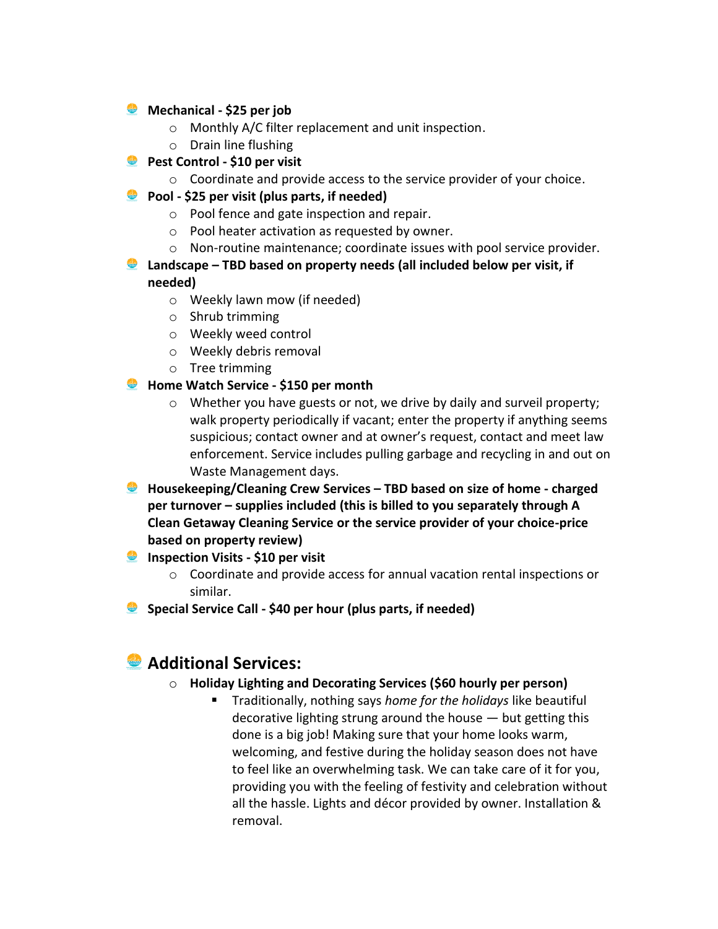## **Mechanical - \$25 per job**

- o Monthly A/C filter replacement and unit inspection.
- o Drain line flushing
- **Pest Control - \$10 per visit**
	- $\circ$  Coordinate and provide access to the service provider of your choice.
- **Pool - \$25 per visit (plus parts, if needed)**
	- o Pool fence and gate inspection and repair.
	- o Pool heater activation as requested by owner.
	- o Non-routine maintenance; coordinate issues with pool service provider.
- **Landscape – TBD based on property needs (all included below per visit, if needed)**
	- o Weekly lawn mow (if needed)
	- o Shrub trimming
	- o Weekly weed control
	- o Weekly debris removal
	- o Tree trimming
- **Home Watch Service - \$150 per month**
	- o Whether you have guests or not, we drive by daily and surveil property; walk property periodically if vacant; enter the property if anything seems suspicious; contact owner and at owner's request, contact and meet law enforcement. Service includes pulling garbage and recycling in and out on Waste Management days.
- **Housekeeping/Cleaning Crew Services – TBD based on size of home - charged per turnover – supplies included (this is billed to you separately through A Clean Getaway Cleaning Service or the service provider of your choice-price based on property review)**
- **Inspection Visits \$10 per visit** 
	- o Coordinate and provide access for annual vacation rental inspections or similar.
- **Special Service Call - \$40 per hour (plus parts, if needed)**

## **Additional Services:**

- o **Holiday Lighting and Decorating Services (\$60 hourly per person)**
	- Traditionally, nothing says *home for the holidays* like beautiful decorative lighting strung around the house  $-$  but getting this done is a big job! Making sure that your home looks warm, welcoming, and festive during the holiday season does not have to feel like an overwhelming task. We can take care of it for you, providing you with the feeling of festivity and celebration without all the hassle. Lights and décor provided by owner. Installation & removal.